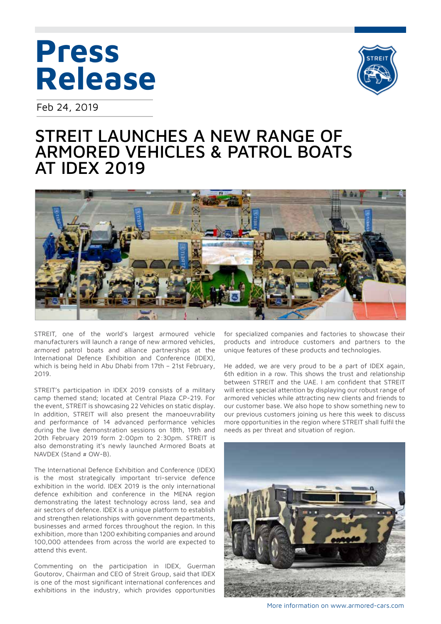# **Press Release**

Feb 24, 2019



## STREIT LAUNCHES A NEW RANGE OF ARMORED VEHICLES & PATROL BOATS AT IDEX 2019



STREIT, one of the world's largest armoured vehicle manufacturers will launch a range of new armored vehicles, armored patrol boats and alliance partnerships at the International Defence Exhibition and Conference (IDEX), which is being held in Abu Dhabi from 17th – 21st February, 2019.

STREIT's participation in IDEX 2019 consists of a military camp themed stand; located at Central Plaza CP-219. For the event, STREIT is showcasing 22 Vehicles on static display. In addition, STREIT will also present the manoeuvrability and performance of 14 advanced performance vehicles during the live demonstration sessions on 18th, 19th and 20th February 2019 form 2:00pm to 2:30pm. STREIT is also demonstrating it's newly launched Armored Boats at NAVDEX (Stand # OW-B).

The International Defence Exhibition and Conference (IDEX) is the most strategically important tri-service defence exhibition in the world. IDEX 2019 is the only international defence exhibition and conference in the MENA region demonstrating the latest technology across land, sea and air sectors of defence. IDEX is a unique platform to establish and strengthen relationships with government departments, businesses and armed forces throughout the region. In this exhibition, more than 1200 exhibiting companies and around 100,000 attendees from across the world are expected to attend this event.

Commenting on the participation in IDEX, Guerman Goutorov, Chairman and CEO of Streit Group, said that IDEX is one of the most significant international conferences and exhibitions in the industry, which provides opportunities for specialized companies and factories to showcase their products and introduce customers and partners to the unique features of these products and technologies.

He added, we are very proud to be a part of IDEX again, 6th edition in a row. This shows the trust and relationship between STREIT and the UAE. I am confident that STREIT will entice special attention by displaying our robust range of armored vehicles while attracting new clients and friends to our customer base. We also hope to show something new to our previous customers joining us here this week to discuss more opportunities in the region where STREIT shall fulfil the needs as per threat and situation of region.



More information on www.armored-cars.com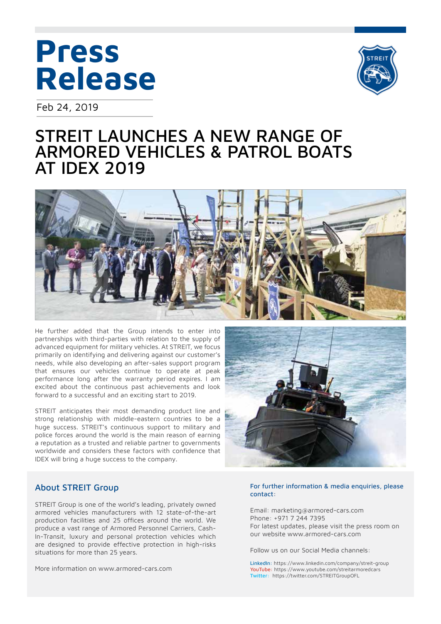# **Press Release**

Feb 24, 2019



### STREIT LAUNCHES A NEW RANGE OF ARMORED VEHICLES & PATROL BOATS AT IDEX 2019



He further added that the Group intends to enter into partnerships with third-parties with relation to the supply of advanced equipment for military vehicles. At STREIT, we focus primarily on identifying and delivering against our customer's needs, while also developing an after-sales support program that ensures our vehicles continue to operate at peak performance long after the warranty period expires. I am excited about the continuous past achievements and look forward to a successful and an exciting start to 2019.

STREIT anticipates their most demanding product line and strong relationship with middle-eastern countries to be a huge success. STREIT's continuous support to military and police forces around the world is the main reason of earning a reputation as a trusted and reliable partner to governments worldwide and considers these factors with confidence that IDEX will bring a huge success to the company.



### About STREIT Group

STREIT Group is one of the world's leading, privately owned armored vehicles manufacturers with 12 state-of-the-art production facilities and 25 offices around the world. We produce a vast range of Armored Personnel Carriers, Cash-In-Transit, luxury and personal protection vehicles which are designed to provide effective protection in high-risks situations for more than 25 years.

More information on www.armored-cars.com

#### For further information & media enquiries, please contact:

Email: marketing@armored-cars.com Phone: +971 7 244 7395 For latest updates, please visit the press room on our website www.armored-cars.com

Follow us on our Social Media channels:

LinkedIn: https://www.linkedin.com/company/streit-group YouTube: https://www.youtube.com/streitarmoredcars Twitter: https://twitter.com/STREITGroupOFL